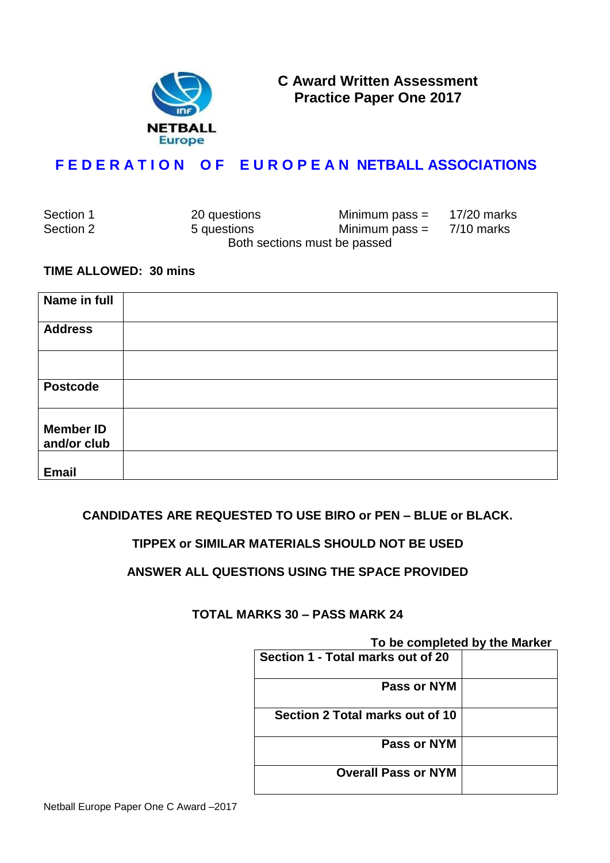

**C Award Written Assessment Practice Paper One 2017**

# **F E D E R A T I O N O F E U R O P E A N NETBALL ASSOCIATIONS**

| Section 1 | 20 questions | Minimum pass $=$             | 17/20 marks |
|-----------|--------------|------------------------------|-------------|
| Section 2 | 5 questions  | Minimum pass $=$             | 7/10 marks  |
|           |              | Both sections must be passed |             |

#### **TIME ALLOWED: 30 mins**

| Name in full                    |  |
|---------------------------------|--|
| <b>Address</b>                  |  |
|                                 |  |
| <b>Postcode</b>                 |  |
| <b>Member ID</b><br>and/or club |  |
| <b>Email</b>                    |  |

## **CANDIDATES ARE REQUESTED TO USE BIRO or PEN – BLUE or BLACK.**

## **TIPPEX or SIMILAR MATERIALS SHOULD NOT BE USED**

## **ANSWER ALL QUESTIONS USING THE SPACE PROVIDED**

## **TOTAL MARKS 30 – PASS MARK 24**

#### **To be completed by the Marker**

| <b>IV DU OUITIQUE DE THUR MATTLET</b> |  |
|---------------------------------------|--|
| Section 1 - Total marks out of 20     |  |
| Pass or NYM                           |  |
| Section 2 Total marks out of 10       |  |
| Pass or NYM                           |  |
| <b>Overall Pass or NYM</b>            |  |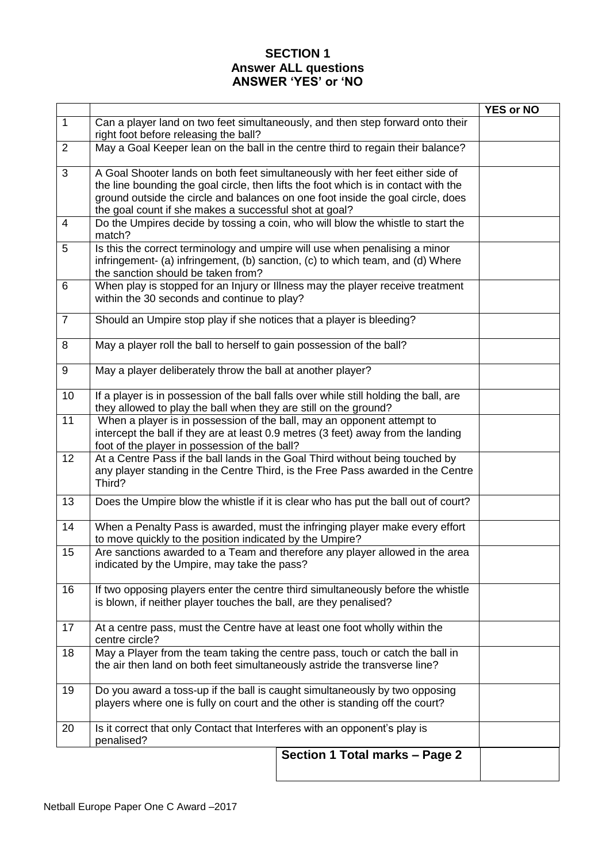# **SECTION 1 Answer ALL questions ANSWER 'YES' or 'NO**

|                 |                                                                                                                                                                                                                                                                                                                   | <b>YES or NO</b> |  |
|-----------------|-------------------------------------------------------------------------------------------------------------------------------------------------------------------------------------------------------------------------------------------------------------------------------------------------------------------|------------------|--|
| $\mathbf{1}$    | Can a player land on two feet simultaneously, and then step forward onto their<br>right foot before releasing the ball?                                                                                                                                                                                           |                  |  |
| $\overline{2}$  | May a Goal Keeper lean on the ball in the centre third to regain their balance?                                                                                                                                                                                                                                   |                  |  |
| 3               | A Goal Shooter lands on both feet simultaneously with her feet either side of<br>the line bounding the goal circle, then lifts the foot which is in contact with the<br>ground outside the circle and balances on one foot inside the goal circle, does<br>the goal count if she makes a successful shot at goal? |                  |  |
| $\overline{4}$  | Do the Umpires decide by tossing a coin, who will blow the whistle to start the<br>match?                                                                                                                                                                                                                         |                  |  |
| 5               | Is this the correct terminology and umpire will use when penalising a minor<br>infringement- (a) infringement, (b) sanction, (c) to which team, and (d) Where<br>the sanction should be taken from?                                                                                                               |                  |  |
| 6               | When play is stopped for an Injury or Illness may the player receive treatment<br>within the 30 seconds and continue to play?                                                                                                                                                                                     |                  |  |
| $\overline{7}$  | Should an Umpire stop play if she notices that a player is bleeding?                                                                                                                                                                                                                                              |                  |  |
| 8               | May a player roll the ball to herself to gain possession of the ball?                                                                                                                                                                                                                                             |                  |  |
| 9               | May a player deliberately throw the ball at another player?                                                                                                                                                                                                                                                       |                  |  |
| 10              | If a player is in possession of the ball falls over while still holding the ball, are<br>they allowed to play the ball when they are still on the ground?                                                                                                                                                         |                  |  |
| $\overline{11}$ | When a player is in possession of the ball, may an opponent attempt to<br>intercept the ball if they are at least 0.9 metres (3 feet) away from the landing<br>foot of the player in possession of the ball?                                                                                                      |                  |  |
| 12 <sub>2</sub> | At a Centre Pass if the ball lands in the Goal Third without being touched by<br>any player standing in the Centre Third, is the Free Pass awarded in the Centre<br>Third?                                                                                                                                        |                  |  |
| 13              | Does the Umpire blow the whistle if it is clear who has put the ball out of court?                                                                                                                                                                                                                                |                  |  |
| 14              | When a Penalty Pass is awarded, must the infringing player make every effort<br>to move quickly to the position indicated by the Umpire?                                                                                                                                                                          |                  |  |
| 15              | Are sanctions awarded to a Team and therefore any player allowed in the area<br>indicated by the Umpire, may take the pass?                                                                                                                                                                                       |                  |  |
| 16              | If two opposing players enter the centre third simultaneously before the whistle<br>is blown, if neither player touches the ball, are they penalised?                                                                                                                                                             |                  |  |
| 17              | At a centre pass, must the Centre have at least one foot wholly within the<br>centre circle?                                                                                                                                                                                                                      |                  |  |
| 18              | May a Player from the team taking the centre pass, touch or catch the ball in<br>the air then land on both feet simultaneously astride the transverse line?                                                                                                                                                       |                  |  |
| 19              | Do you award a toss-up if the ball is caught simultaneously by two opposing<br>players where one is fully on court and the other is standing off the court?                                                                                                                                                       |                  |  |
| 20              | Is it correct that only Contact that Interferes with an opponent's play is<br>penalised?                                                                                                                                                                                                                          |                  |  |
|                 | Section 1 Total marks - Page 2                                                                                                                                                                                                                                                                                    |                  |  |
|                 |                                                                                                                                                                                                                                                                                                                   |                  |  |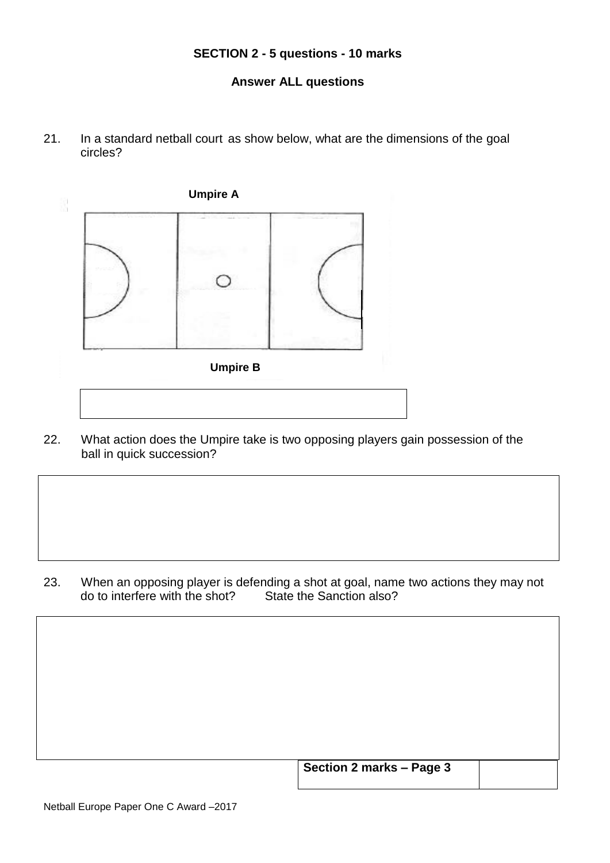#### **SECTION 2 - 5 questions - 10 marks**

## **Answer ALL questions**

21. In a standard netball court as show below, what are the dimensions of the goal circles?



22. What action does the Umpire take is two opposing players gain possession of the ball in quick succession?

23. When an opposing player is defending a shot at goal, name two actions they may not do to interfere with the shot? State the Sanction also?

| Section 2 marks - Page 3 |  |
|--------------------------|--|